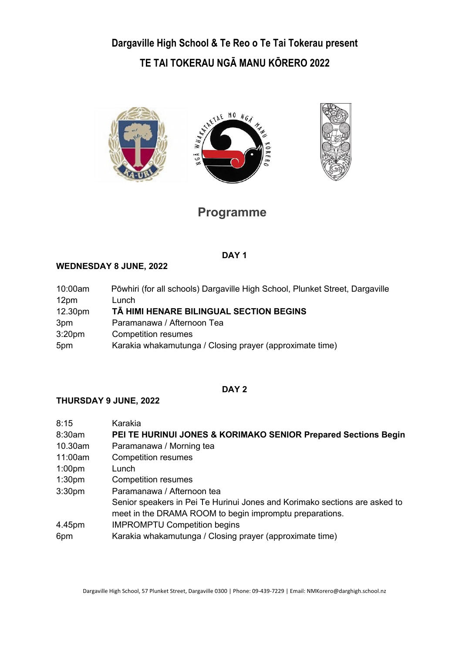**Dargaville High School & Te Reo o Te Tai Tokerau present TE TAI TOKERAU NGĀ MANU KŌRERO 2022**



# **Programme**

### **DAY 1**

## **WEDNESDAY 8 JUNE, 2022**

| 10:00am            | Pōwhiri (for all schools) Dargaville High School, Plunket Street, Dargaville |
|--------------------|------------------------------------------------------------------------------|
| 12pm               | Lunch                                                                        |
| 12.30pm            | TĀ HIMI HENARE BILINGUAL SECTION BEGINS                                      |
| 3pm                | Paramanawa / Afternoon Tea                                                   |
| 3:20 <sub>pm</sub> | <b>Competition resumes</b>                                                   |
| 5pm                | Karakia whakamutunga / Closing prayer (approximate time)                     |

### **DAY 2**

### **THURSDAY 9 JUNE, 2022**

| 8:15               | Karakia                                                                    |
|--------------------|----------------------------------------------------------------------------|
| 8:30am             | PEI TE HURINUI JONES & KORIMAKO SENIOR Prepared Sections Begin             |
| 10.30am            | Paramanawa / Morning tea                                                   |
| 11:00am            | <b>Competition resumes</b>                                                 |
| 1:00 <sub>pm</sub> | Lunch                                                                      |
| 1:30 <sub>pm</sub> | <b>Competition resumes</b>                                                 |
| 3:30 <sub>pm</sub> | Paramanawa / Afternoon tea                                                 |
|                    | Senior speakers in Pei Te Hurinui Jones and Korimako sections are asked to |
|                    | meet in the DRAMA ROOM to begin impromptu preparations.                    |
| 4.45pm             | <b>IMPROMPTU Competition begins</b>                                        |
| 6pm                | Karakia whakamutunga / Closing prayer (approximate time)                   |